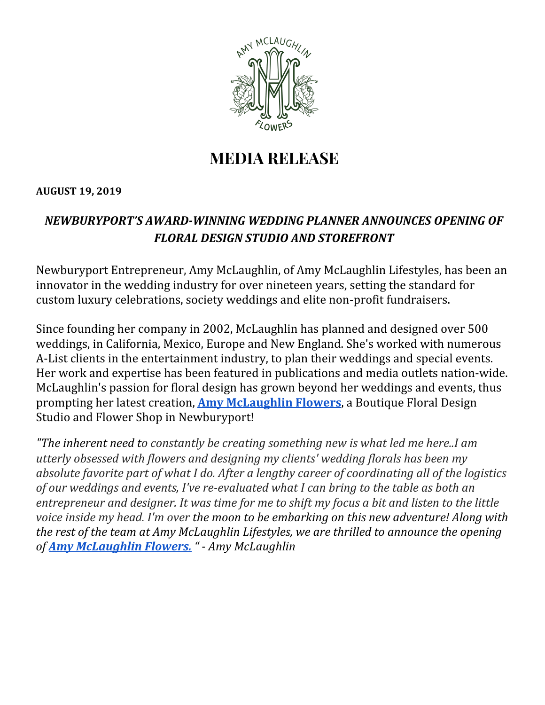

# **MEDIA RELEASE**

#### **AUGUST 19, 2019**

## *NEWBURYPORT'S AWARD-WINNING WEDDING PLANNER ANNOUNCES OPENING OF FLORAL DESIGN STUDIO AND STOREFRONT*

Newburyport Entrepreneur, Amy McLaughlin, of Amy McLaughlin Lifestyles, has been an innovator in the wedding industry for over nineteen years, setting the standard for custom luxury celebrations, society weddings and elite non-profit fundraisers.

Since founding her company in 2002, McLaughlin has planned and designed over 500 weddings, in California, Mexico, Europe and New England. She's worked with numerous A-List clients in the entertainment industry, to plan their weddings and special events. Her work and expertise has been featured in publications and media outlets nation-wide. McLaughlin's passion for floral design has grown beyond her weddings and events, thus prompting her latest creation, **Amy [McLaughlin](https://www.amymclaughlinflowers.com/) Flowers**, a Boutique Floral Design Studio and Flower Shop in Newburyport!

*"The inherent need to constantly be creating something new is what led me here..I am utterly obsessed with flowers and designing my clients' wedding florals has been my absolute favorite part of what I do. After a lengthy career of coordinating all of the logistics of our weddings and events, I've re-evaluated what I can bring to the table as both an* entrepreneur and designer. It was time for me to shift my focus a bit and listen to the little *voice inside my head. I'm over the moon to be embarking on this new adventure! Along with the rest of the team at Amy McLaughlin Lifestyles, we are thrilled to announce the opening of Amy [McLaughlin](https://www.amymclaughlinflowers.com/) Flowers. " - Amy McLaughlin*